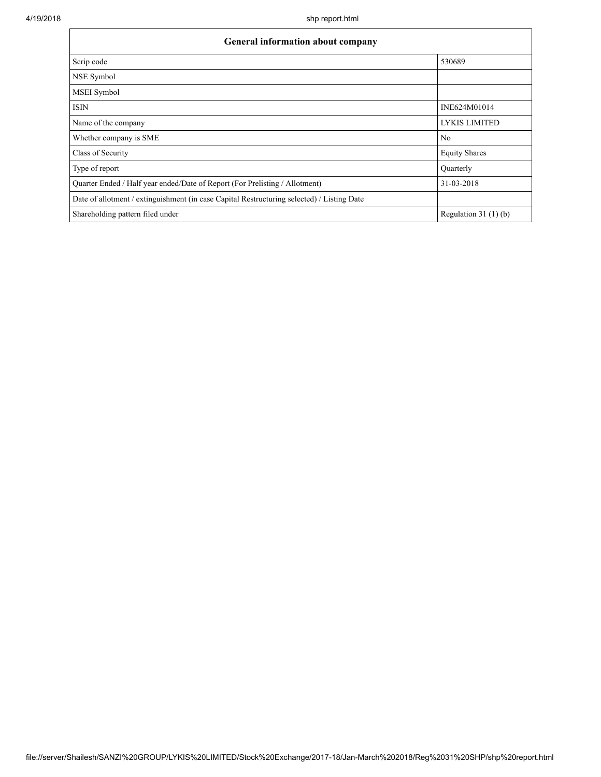| <b>General information about company</b>                                                   |                        |  |  |  |  |  |
|--------------------------------------------------------------------------------------------|------------------------|--|--|--|--|--|
| Scrip code                                                                                 | 530689                 |  |  |  |  |  |
| NSE Symbol                                                                                 |                        |  |  |  |  |  |
| <b>MSEI</b> Symbol                                                                         |                        |  |  |  |  |  |
| <b>ISIN</b>                                                                                | INE624M01014           |  |  |  |  |  |
| Name of the company                                                                        | <b>LYKIS LIMITED</b>   |  |  |  |  |  |
| Whether company is SME                                                                     | N <sub>0</sub>         |  |  |  |  |  |
| Class of Security                                                                          | <b>Equity Shares</b>   |  |  |  |  |  |
| Type of report                                                                             | Ouarterly              |  |  |  |  |  |
| Quarter Ended / Half year ended/Date of Report (For Prelisting / Allotment)                | 31-03-2018             |  |  |  |  |  |
| Date of allotment / extinguishment (in case Capital Restructuring selected) / Listing Date |                        |  |  |  |  |  |
| Shareholding pattern filed under                                                           | Regulation 31 $(1)(b)$ |  |  |  |  |  |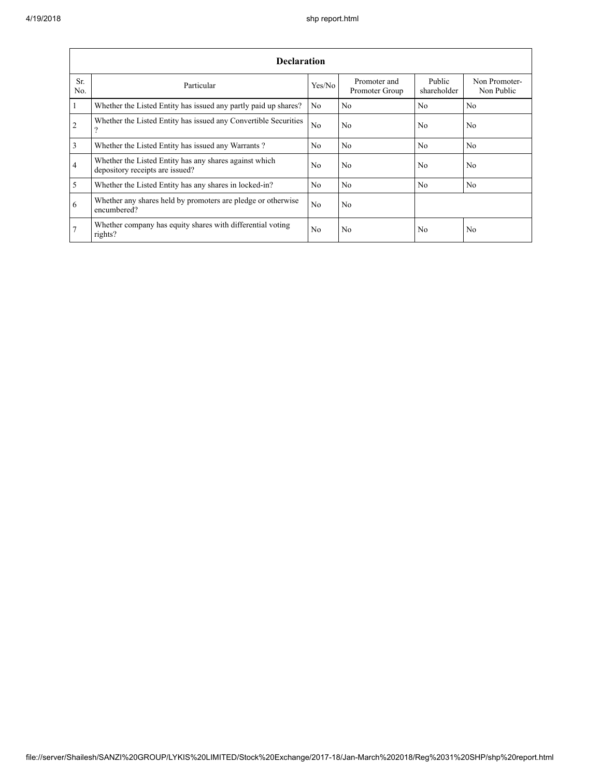|                         | <b>Declaration</b>                                                                        |                |                                |                       |                             |  |  |  |  |  |  |
|-------------------------|-------------------------------------------------------------------------------------------|----------------|--------------------------------|-----------------------|-----------------------------|--|--|--|--|--|--|
| Sr.<br>N <sub>0</sub>   | Particular                                                                                | Yes/No         | Promoter and<br>Promoter Group | Public<br>shareholder | Non Promoter-<br>Non Public |  |  |  |  |  |  |
| $\overline{1}$          | Whether the Listed Entity has issued any partly paid up shares?                           | N <sub>0</sub> | N <sub>0</sub>                 | N <sub>0</sub>        | N <sub>0</sub>              |  |  |  |  |  |  |
| 2                       | Whether the Listed Entity has issued any Convertible Securities<br>?                      | N <sub>0</sub> | N <sub>0</sub>                 | N <sub>0</sub>        | N <sub>0</sub>              |  |  |  |  |  |  |
| $\overline{\mathbf{3}}$ | Whether the Listed Entity has issued any Warrants?                                        | N <sub>0</sub> | N <sub>0</sub>                 | N <sub>0</sub>        | No                          |  |  |  |  |  |  |
| $\overline{4}$          | Whether the Listed Entity has any shares against which<br>depository receipts are issued? | N <sub>0</sub> | N <sub>0</sub>                 | N <sub>0</sub>        | N <sub>0</sub>              |  |  |  |  |  |  |
| $\overline{5}$          | Whether the Listed Entity has any shares in locked-in?                                    | N <sub>0</sub> | N <sub>0</sub>                 | N <sub>0</sub>        | No                          |  |  |  |  |  |  |
| 6                       | Whether any shares held by promoters are pledge or otherwise<br>encumbered?               | N <sub>0</sub> | N <sub>0</sub>                 |                       |                             |  |  |  |  |  |  |
| 7                       | Whether company has equity shares with differential voting<br>rights?                     | N <sub>0</sub> | N <sub>0</sub>                 | N <sub>0</sub>        | N <sub>0</sub>              |  |  |  |  |  |  |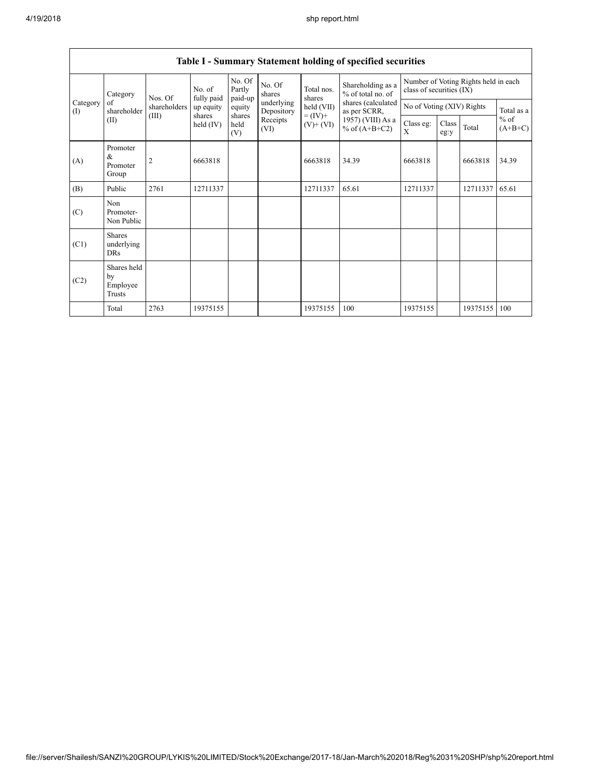|                 | Category                                  | Nos. Of<br>shareholders<br>(III) | No. of<br>fully paid               | No. Of<br>Partly<br>paid-up | No. Of<br>shares         | Total nos.<br>shares         | Shareholding as a<br>% of total no. of | Number of Voting Rights held in each<br>class of securities (IX) |                                         |          |                     |
|-----------------|-------------------------------------------|----------------------------------|------------------------------------|-----------------------------|--------------------------|------------------------------|----------------------------------------|------------------------------------------------------------------|-----------------------------------------|----------|---------------------|
| Category<br>(I) | of<br>shareholder                         |                                  | up equity<br>shares<br>held $(IV)$ | equity                      | underlying<br>Depository | held (VII)                   | shares (calculated<br>as per SCRR,     |                                                                  | No of Voting (XIV) Rights<br>Total as a |          |                     |
|                 | (II)                                      |                                  |                                    | shares<br>held<br>(V)       | Receipts<br>(VI)         | $= (IV) +$<br>$(V)$ + $(VI)$ | $1957)$ (VIII) As a<br>% of $(A+B+C2)$ | Class eg:<br>X                                                   | Class<br>eg:y                           | Total    | $%$ of<br>$(A+B+C)$ |
| (A)             | Promoter<br>&<br>Promoter<br>Group        | 2                                | 6663818                            |                             |                          | 6663818                      | 34.39                                  | 6663818                                                          |                                         | 6663818  | 34.39               |
| (B)             | Public                                    | 2761                             | 12711337                           |                             |                          | 12711337                     | 65.61                                  | 12711337                                                         |                                         | 12711337 | 65.61               |
| (C)             | Non<br>Promoter-<br>Non Public            |                                  |                                    |                             |                          |                              |                                        |                                                                  |                                         |          |                     |
| (C1)            | <b>Shares</b><br>underlying<br><b>DRs</b> |                                  |                                    |                             |                          |                              |                                        |                                                                  |                                         |          |                     |
| (C2)            | Shares held<br>by<br>Employee<br>Trusts   |                                  |                                    |                             |                          |                              |                                        |                                                                  |                                         |          |                     |
|                 | Total                                     | 2763                             | 19375155                           |                             |                          | 19375155                     | 100                                    | 19375155                                                         |                                         | 19375155 | 100                 |

## Table I - Summary Statement holding of specified securities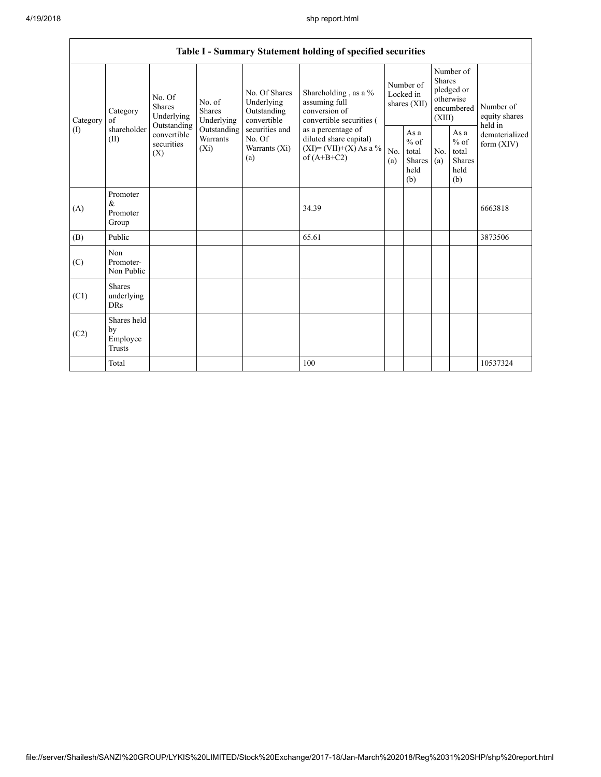|          | Table I - Summary Statement holding of specified securities                                                                                                                                                                                                                                                         |                                                                                            |            |                                                  |                                                                                    |                                                         |                                |                                                                               |  |                                       |  |
|----------|---------------------------------------------------------------------------------------------------------------------------------------------------------------------------------------------------------------------------------------------------------------------------------------------------------------------|--------------------------------------------------------------------------------------------|------------|--------------------------------------------------|------------------------------------------------------------------------------------|---------------------------------------------------------|--------------------------------|-------------------------------------------------------------------------------|--|---------------------------------------|--|
| Category | No. Of Shares<br>No. Of<br>Underlying<br>No. of<br>Shares<br>Shares<br>Outstanding<br>Category<br>Underlying<br>convertible<br>Underlying<br>of<br>Outstanding<br>shareholder<br>Outstanding<br>securities and<br>convertible<br>Warrants<br>No. Of<br>(II)<br>securities<br>$(X_i)$<br>Warrants (Xi)<br>(X)<br>(a) |                                                                                            |            |                                                  | Shareholding, as a %<br>assuming full<br>conversion of<br>convertible securities ( | Number of<br>Locked in<br>shares (XII)                  |                                | Number of<br><b>Shares</b><br>pledged or<br>otherwise<br>encumbered<br>(XIII) |  | Number of<br>equity shares<br>held in |  |
| (1)      |                                                                                                                                                                                                                                                                                                                     | as a percentage of<br>diluted share capital)<br>$(XI) = (VII)+(X) As a %$<br>of $(A+B+C2)$ | No.<br>(a) | As a<br>$%$ of<br>total<br>Shares<br>held<br>(b) | No.<br>(a)                                                                         | As a<br>$%$ of<br>total<br><b>Shares</b><br>held<br>(b) | dematerialized<br>form $(XIV)$ |                                                                               |  |                                       |  |
| (A)      | Promoter<br>$\&$<br>Promoter<br>Group                                                                                                                                                                                                                                                                               |                                                                                            |            |                                                  | 34.39                                                                              |                                                         |                                |                                                                               |  | 6663818                               |  |
| (B)      | Public                                                                                                                                                                                                                                                                                                              |                                                                                            |            |                                                  | 65.61                                                                              |                                                         |                                |                                                                               |  | 3873506                               |  |
| (C)      | Non<br>Promoter-<br>Non Public                                                                                                                                                                                                                                                                                      |                                                                                            |            |                                                  |                                                                                    |                                                         |                                |                                                                               |  |                                       |  |
| (C1)     | <b>Shares</b><br>underlying<br><b>DRs</b>                                                                                                                                                                                                                                                                           |                                                                                            |            |                                                  |                                                                                    |                                                         |                                |                                                                               |  |                                       |  |
| (C2)     | Shares held<br>by<br>Employee<br><b>Trusts</b>                                                                                                                                                                                                                                                                      |                                                                                            |            |                                                  |                                                                                    |                                                         |                                |                                                                               |  |                                       |  |
|          | Total                                                                                                                                                                                                                                                                                                               |                                                                                            |            |                                                  | 100                                                                                |                                                         |                                |                                                                               |  | 10537324                              |  |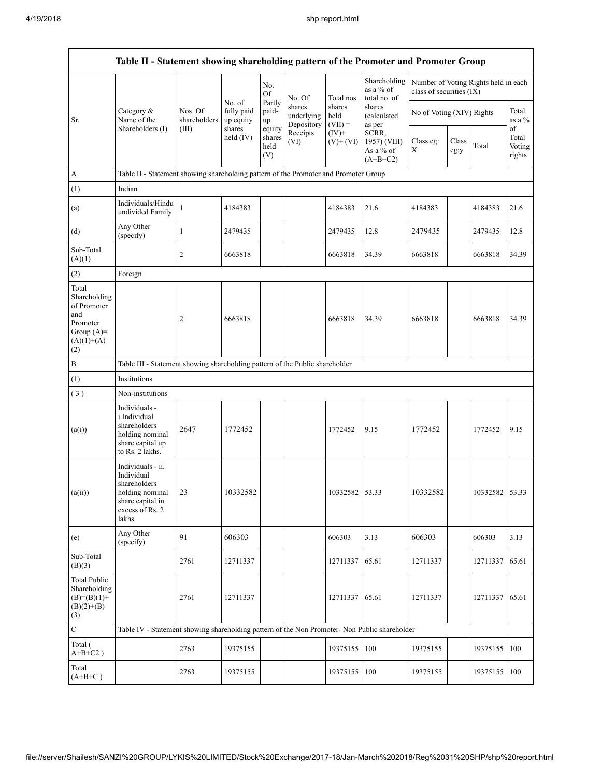|                                                                                                | Table II - Statement showing shareholding pattern of the Promoter and Promoter Group                                   |                                  |                                             |                                 |                                    |                             |                                                  |                                                                  |               |                |                           |
|------------------------------------------------------------------------------------------------|------------------------------------------------------------------------------------------------------------------------|----------------------------------|---------------------------------------------|---------------------------------|------------------------------------|-----------------------------|--------------------------------------------------|------------------------------------------------------------------|---------------|----------------|---------------------------|
|                                                                                                |                                                                                                                        |                                  |                                             | No.<br><b>Of</b>                | No. Of                             | Total nos.                  | Shareholding<br>as a $\%$ of<br>total no. of     | Number of Voting Rights held in each<br>class of securities (IX) |               |                |                           |
| Sr.                                                                                            | Category &<br>Name of the<br>Shareholders (I)                                                                          | Nos. Of<br>shareholders<br>(III) | No. of<br>fully paid<br>up equity<br>shares | Partly<br>paid-<br>up<br>equity | shares<br>underlying<br>Depository | shares<br>held<br>$(VII) =$ | shares<br>(calculated<br>as per                  | No of Voting (XIV) Rights                                        |               |                | Total<br>as a $%$<br>of   |
|                                                                                                |                                                                                                                        |                                  | held $(IV)$                                 | shares<br>held<br>(V)           | Receipts<br>(VI)                   | $(IV)+$<br>$(V)$ + $(VI)$   | SCRR,<br>1957) (VIII)<br>As a % of<br>$(A+B+C2)$ | Class eg:<br>Χ                                                   | Class<br>eg:y | Total          | Total<br>Voting<br>rights |
| $\mathbf{A}$                                                                                   | Table II - Statement showing shareholding pattern of the Promoter and Promoter Group                                   |                                  |                                             |                                 |                                    |                             |                                                  |                                                                  |               |                |                           |
| (1)                                                                                            | Indian                                                                                                                 |                                  |                                             |                                 |                                    |                             |                                                  |                                                                  |               |                |                           |
| (a)                                                                                            | Individuals/Hindu<br>undivided Family                                                                                  | 1                                | 4184383                                     |                                 |                                    | 4184383                     | 21.6                                             | 4184383                                                          |               | 4184383        | 21.6                      |
| (d)                                                                                            | Any Other<br>(specify)                                                                                                 | $\mathbf{1}$                     | 2479435                                     |                                 |                                    | 2479435                     | 12.8                                             | 2479435                                                          |               | 2479435        | 12.8                      |
| Sub-Total<br>(A)(1)                                                                            |                                                                                                                        | $\overline{c}$                   | 6663818                                     |                                 |                                    | 6663818                     | 34.39                                            | 6663818                                                          |               | 6663818        | 34.39                     |
| (2)                                                                                            | Foreign                                                                                                                |                                  |                                             |                                 |                                    |                             |                                                  |                                                                  |               |                |                           |
| Total<br>Shareholding<br>of Promoter<br>and<br>Promoter<br>Group $(A)=$<br>$(A)(1)+(A)$<br>(2) |                                                                                                                        | 2                                | 6663818                                     |                                 |                                    | 6663818                     | 34.39                                            | 6663818                                                          |               | 6663818        | 34.39                     |
| $\, {\bf B}$                                                                                   | Table III - Statement showing shareholding pattern of the Public shareholder                                           |                                  |                                             |                                 |                                    |                             |                                                  |                                                                  |               |                |                           |
| (1)                                                                                            | Institutions                                                                                                           |                                  |                                             |                                 |                                    |                             |                                                  |                                                                  |               |                |                           |
| (3)                                                                                            | Non-institutions                                                                                                       |                                  |                                             |                                 |                                    |                             |                                                  |                                                                  |               |                |                           |
| (a(i))                                                                                         | Individuals -<br>i.Individual<br>shareholders<br>holding nominal<br>share capital up<br>to Rs. 2 lakhs.                | 2647                             | 1772452                                     |                                 |                                    | 1772452                     | 9.15                                             | 1772452                                                          |               | 1772452        | 9.15                      |
| (a(ii))                                                                                        | Individuals - ii.<br>Individual<br>shareholders<br>holding nominal 23<br>share capital in<br>excess of Rs. 2<br>lakhs. |                                  | 10332582                                    |                                 |                                    | 10332582 53.33              |                                                  | 10332582                                                         |               | 10332582 53.33 |                           |
| (e)                                                                                            | Any Other<br>(specify)                                                                                                 | 91                               | 606303                                      |                                 |                                    | 606303                      | 3.13                                             | 606303                                                           |               | 606303         | 3.13                      |
| Sub-Total<br>(B)(3)                                                                            |                                                                                                                        | 2761                             | 12711337                                    |                                 |                                    | 12711337                    | 65.61                                            | 12711337                                                         |               | 12711337       | 65.61                     |
| <b>Total Public</b><br>Shareholding<br>$(B)=(B)(1)+$<br>$(B)(2)+(B)$<br>(3)                    |                                                                                                                        | 2761                             | 12711337                                    |                                 |                                    | 12711337                    | 65.61                                            | 12711337                                                         |               | 12711337       | 65.61                     |
| ${\bf C}$                                                                                      | Table IV - Statement showing shareholding pattern of the Non Promoter- Non Public shareholder                          |                                  |                                             |                                 |                                    |                             |                                                  |                                                                  |               |                |                           |
| Total (<br>$A+B+C2$ )                                                                          |                                                                                                                        | 2763                             | 19375155                                    |                                 |                                    | 19375155                    | 100                                              | 19375155                                                         |               | 19375155       | 100                       |
| Total<br>$(A+B+C)$                                                                             |                                                                                                                        | 2763                             | 19375155                                    |                                 |                                    | 19375155 100                |                                                  | 19375155                                                         |               | 19375155       | 100                       |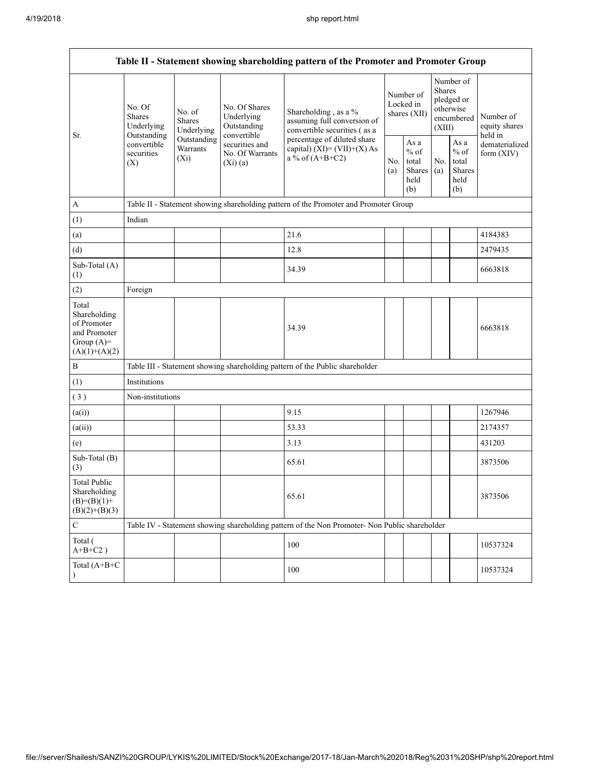|                                                                                         |                                                                                                                                |                         |                                                           | Table II - Statement showing shareholding pattern of the Promoter and Promoter Group          |                                        |                                                  |                                                                               |                                                  |                                       |
|-----------------------------------------------------------------------------------------|--------------------------------------------------------------------------------------------------------------------------------|-------------------------|-----------------------------------------------------------|-----------------------------------------------------------------------------------------------|----------------------------------------|--------------------------------------------------|-------------------------------------------------------------------------------|--------------------------------------------------|---------------------------------------|
| Sr.                                                                                     | No. Of<br>No. of<br><b>Shares</b><br><b>Shares</b><br>Underlying<br>Outstanding<br>convertible<br>securities<br>$(X_i)$<br>(X) | Underlying              | No. Of Shares<br>Underlying<br>Outstanding<br>convertible | Shareholding, as a %<br>assuming full conversion of<br>convertible securities (as a           | Number of<br>Locked in<br>shares (XII) |                                                  | Number of<br><b>Shares</b><br>pledged or<br>otherwise<br>encumbered<br>(XIII) |                                                  | Number of<br>equity shares<br>held in |
|                                                                                         |                                                                                                                                | Outstanding<br>Warrants | securities and<br>No. Of Warrants<br>(Xi)(a)              | percentage of diluted share<br>capital) $(XI) = (VII)+(X) As$<br>a % of $(A+B+C2)$            |                                        | As a<br>$%$ of<br>total<br>Shares<br>held<br>(b) | No.<br>(a)                                                                    | As a<br>$%$ of<br>total<br>Shares<br>held<br>(b) | dematerialized<br>form $(XIV)$        |
| $\mathbf{A}$                                                                            |                                                                                                                                |                         |                                                           | Table II - Statement showing shareholding pattern of the Promoter and Promoter Group          |                                        |                                                  |                                                                               |                                                  |                                       |
| (1)                                                                                     | Indian                                                                                                                         |                         |                                                           |                                                                                               |                                        |                                                  |                                                                               |                                                  |                                       |
| (a)                                                                                     |                                                                                                                                |                         |                                                           | 21.6                                                                                          |                                        |                                                  |                                                                               |                                                  | 4184383                               |
| (d)                                                                                     |                                                                                                                                |                         |                                                           | 12.8                                                                                          |                                        |                                                  |                                                                               |                                                  | 2479435                               |
| Sub-Total (A)<br>(1)                                                                    |                                                                                                                                |                         |                                                           | 34.39                                                                                         |                                        |                                                  |                                                                               |                                                  | 6663818                               |
| (2)                                                                                     | Foreign                                                                                                                        |                         |                                                           |                                                                                               |                                        |                                                  |                                                                               |                                                  |                                       |
| Total<br>Shareholding<br>of Promoter<br>and Promoter<br>Group $(A)=$<br>$(A)(1)+(A)(2)$ |                                                                                                                                |                         |                                                           | 34.39                                                                                         |                                        |                                                  |                                                                               |                                                  | 6663818                               |
| $\, {\bf B}$                                                                            |                                                                                                                                |                         |                                                           | Table III - Statement showing shareholding pattern of the Public shareholder                  |                                        |                                                  |                                                                               |                                                  |                                       |
| (1)                                                                                     | Institutions                                                                                                                   |                         |                                                           |                                                                                               |                                        |                                                  |                                                                               |                                                  |                                       |
| (3)                                                                                     | Non-institutions                                                                                                               |                         |                                                           |                                                                                               |                                        |                                                  |                                                                               |                                                  |                                       |
| (a(i))                                                                                  |                                                                                                                                |                         |                                                           | 9.15                                                                                          |                                        |                                                  |                                                                               |                                                  | 1267946                               |
| (a(ii))                                                                                 |                                                                                                                                |                         |                                                           | 53.33                                                                                         |                                        |                                                  |                                                                               |                                                  | 2174357                               |
| (e)                                                                                     |                                                                                                                                |                         |                                                           | 3.13                                                                                          |                                        |                                                  |                                                                               |                                                  | 431203                                |
| Sub-Total (B)<br>(3)                                                                    |                                                                                                                                |                         |                                                           | 65.61                                                                                         |                                        |                                                  |                                                                               |                                                  | 3873506                               |
| <b>Total Public</b><br>Shareholding<br>$(B)=(B)(1)+$<br>$(B)(2)+(B)(3)$                 |                                                                                                                                |                         |                                                           | 65.61                                                                                         |                                        |                                                  |                                                                               |                                                  | 3873506                               |
| $\mathbf C$                                                                             |                                                                                                                                |                         |                                                           | Table IV - Statement showing shareholding pattern of the Non Promoter- Non Public shareholder |                                        |                                                  |                                                                               |                                                  |                                       |
| Total (<br>$A+B+C2$ )                                                                   |                                                                                                                                |                         |                                                           | 100                                                                                           |                                        |                                                  |                                                                               |                                                  | 10537324                              |
| Total (A+B+C<br>$\lambda$                                                               |                                                                                                                                |                         |                                                           | 100                                                                                           |                                        |                                                  |                                                                               |                                                  | 10537324                              |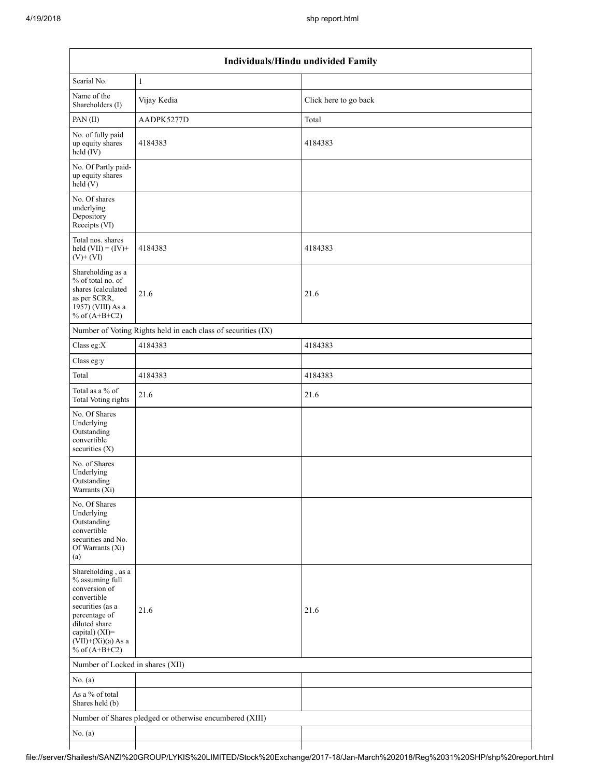|                                                                                                                                                                                          | Individuals/Hindu undivided Family                            |                       |  |  |  |  |  |  |
|------------------------------------------------------------------------------------------------------------------------------------------------------------------------------------------|---------------------------------------------------------------|-----------------------|--|--|--|--|--|--|
| Searial No.                                                                                                                                                                              | $\mathbf{1}$                                                  |                       |  |  |  |  |  |  |
| Name of the<br>Shareholders (I)                                                                                                                                                          | Vijay Kedia                                                   | Click here to go back |  |  |  |  |  |  |
| PAN(II)                                                                                                                                                                                  | AADPK5277D                                                    | Total                 |  |  |  |  |  |  |
| No. of fully paid<br>up equity shares<br>$\text{held}(\text{IV})$                                                                                                                        | 4184383                                                       | 4184383               |  |  |  |  |  |  |
| No. Of Partly paid-<br>up equity shares<br>held(V)                                                                                                                                       |                                                               |                       |  |  |  |  |  |  |
| No. Of shares<br>underlying<br>Depository<br>Receipts (VI)                                                                                                                               |                                                               |                       |  |  |  |  |  |  |
| Total nos. shares<br>held $(VII) = (IV) +$<br>$(V)$ + $(VI)$                                                                                                                             | 4184383                                                       | 4184383               |  |  |  |  |  |  |
| Shareholding as a<br>% of total no. of<br>shares (calculated<br>as per SCRR,<br>1957) (VIII) As a<br>% of $(A+B+C2)$                                                                     | 21.6                                                          | 21.6                  |  |  |  |  |  |  |
|                                                                                                                                                                                          | Number of Voting Rights held in each class of securities (IX) |                       |  |  |  |  |  |  |
| Class eg:X                                                                                                                                                                               | 4184383                                                       | 4184383               |  |  |  |  |  |  |
| Class eg:y                                                                                                                                                                               |                                                               |                       |  |  |  |  |  |  |
| Total                                                                                                                                                                                    | 4184383                                                       | 4184383               |  |  |  |  |  |  |
| Total as a % of<br>Total Voting rights                                                                                                                                                   | 21.6                                                          | 21.6                  |  |  |  |  |  |  |
| No. Of Shares<br>Underlying<br>Outstanding<br>convertible<br>securities $(X)$                                                                                                            |                                                               |                       |  |  |  |  |  |  |
| No. of Shares<br>Underlying<br>Outstanding<br>Warrants $(X_i)$                                                                                                                           |                                                               |                       |  |  |  |  |  |  |
| No. Of Shares<br>Underlying<br>Outstanding<br>convertible<br>securities and No.<br>Of Warrants (Xi)<br>(a)                                                                               |                                                               |                       |  |  |  |  |  |  |
| Shareholding, as a<br>% assuming full<br>conversion of<br>convertible<br>securities (as a<br>percentage of<br>diluted share<br>capital) (XI)=<br>$(VII)+(Xi)(a)$ As a<br>% of $(A+B+C2)$ | 21.6                                                          | 21.6                  |  |  |  |  |  |  |
| Number of Locked in shares (XII)                                                                                                                                                         |                                                               |                       |  |  |  |  |  |  |
| No. $(a)$                                                                                                                                                                                |                                                               |                       |  |  |  |  |  |  |
| As a % of total<br>Shares held (b)                                                                                                                                                       |                                                               |                       |  |  |  |  |  |  |
|                                                                                                                                                                                          | Number of Shares pledged or otherwise encumbered (XIII)       |                       |  |  |  |  |  |  |
| No. $(a)$                                                                                                                                                                                |                                                               |                       |  |  |  |  |  |  |
|                                                                                                                                                                                          |                                                               |                       |  |  |  |  |  |  |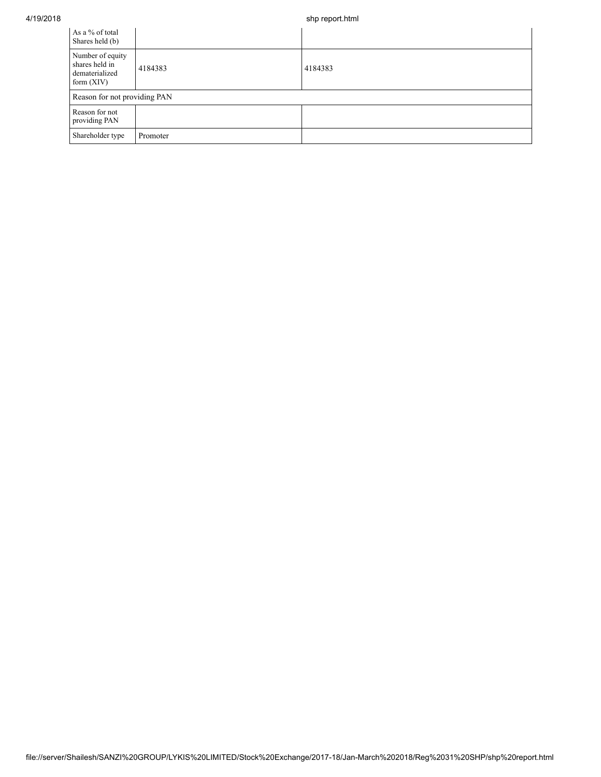## 4/19/2018 shp report.html

| As a % of total<br>Shares held (b)                                   |                              |         |  |  |  |  |  |  |
|----------------------------------------------------------------------|------------------------------|---------|--|--|--|--|--|--|
| Number of equity<br>shares held in<br>dematerialized<br>form $(XIV)$ | 4184383                      | 4184383 |  |  |  |  |  |  |
|                                                                      | Reason for not providing PAN |         |  |  |  |  |  |  |
| Reason for not<br>providing PAN                                      |                              |         |  |  |  |  |  |  |
| Shareholder type                                                     | Promoter                     |         |  |  |  |  |  |  |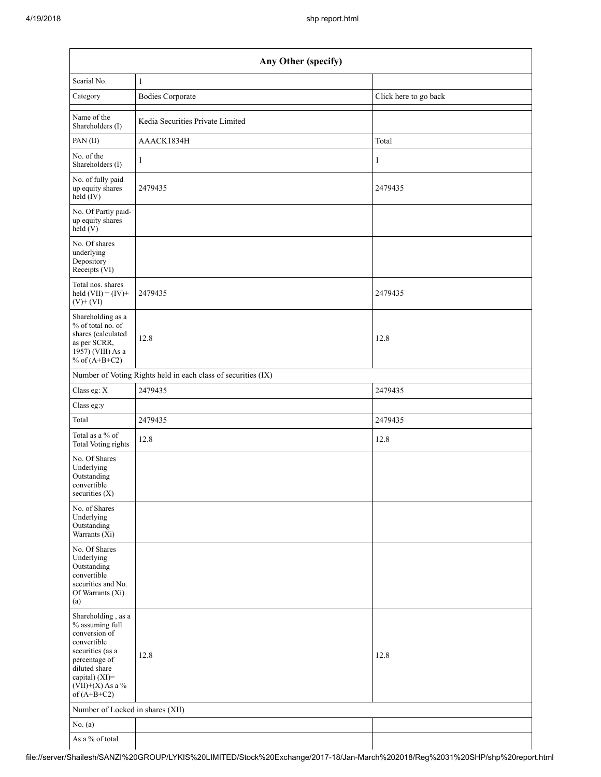|                                                                                                                                                                                      | Any Other (specify)                                           |                       |  |  |  |  |  |  |  |  |
|--------------------------------------------------------------------------------------------------------------------------------------------------------------------------------------|---------------------------------------------------------------|-----------------------|--|--|--|--|--|--|--|--|
| Searial No.                                                                                                                                                                          | $\mathbf{1}$                                                  |                       |  |  |  |  |  |  |  |  |
| Category                                                                                                                                                                             | <b>Bodies Corporate</b>                                       | Click here to go back |  |  |  |  |  |  |  |  |
| Name of the<br>Shareholders (I)                                                                                                                                                      | Kedia Securities Private Limited                              |                       |  |  |  |  |  |  |  |  |
| PAN(II)                                                                                                                                                                              | AAACK1834H                                                    | Total                 |  |  |  |  |  |  |  |  |
| No. of the<br>Shareholders (I)                                                                                                                                                       | $\mathbf{1}$                                                  | 1                     |  |  |  |  |  |  |  |  |
| No. of fully paid<br>up equity shares<br>held (IV)                                                                                                                                   | 2479435                                                       | 2479435               |  |  |  |  |  |  |  |  |
| No. Of Partly paid-<br>up equity shares<br>held(V)                                                                                                                                   |                                                               |                       |  |  |  |  |  |  |  |  |
| No. Of shares<br>underlying<br>Depository<br>Receipts (VI)                                                                                                                           |                                                               |                       |  |  |  |  |  |  |  |  |
| Total nos. shares<br>held $(VII) = (IV) +$<br>$(V)$ + $(VI)$                                                                                                                         | 2479435                                                       | 2479435               |  |  |  |  |  |  |  |  |
| Shareholding as a<br>% of total no. of<br>shares (calculated<br>as per SCRR,<br>$19\overline{57}$ ) (VIII) As a<br>% of $(A+B+C2)$                                                   | 12.8                                                          | 12.8                  |  |  |  |  |  |  |  |  |
|                                                                                                                                                                                      | Number of Voting Rights held in each class of securities (IX) |                       |  |  |  |  |  |  |  |  |
| Class eg: X                                                                                                                                                                          | 2479435                                                       | 2479435               |  |  |  |  |  |  |  |  |
| Class eg:y                                                                                                                                                                           |                                                               |                       |  |  |  |  |  |  |  |  |
| Total                                                                                                                                                                                | 2479435                                                       | 2479435               |  |  |  |  |  |  |  |  |
| Total as a % of<br><b>Total Voting rights</b>                                                                                                                                        | 12.8                                                          | 12.8                  |  |  |  |  |  |  |  |  |
| No. Of Shares<br>Underlying<br>Outstanding<br>convertible<br>securities $(X)$                                                                                                        |                                                               |                       |  |  |  |  |  |  |  |  |
| No. of Shares<br>Underlying<br>Outstanding<br>Warrants (Xi)                                                                                                                          |                                                               |                       |  |  |  |  |  |  |  |  |
| No. Of Shares<br>Underlying<br>Outstanding<br>convertible<br>securities and No.<br>Of Warrants (Xi)<br>(a)                                                                           |                                                               |                       |  |  |  |  |  |  |  |  |
| Shareholding, as a<br>% assuming full<br>conversion of<br>convertible<br>securities (as a<br>percentage of<br>diluted share<br>capital) (XI)=<br>$(VII)+(X)$ As a %<br>of $(A+B+C2)$ | 12.8                                                          | 12.8                  |  |  |  |  |  |  |  |  |
| Number of Locked in shares (XII)                                                                                                                                                     |                                                               |                       |  |  |  |  |  |  |  |  |
| No. (a)                                                                                                                                                                              |                                                               |                       |  |  |  |  |  |  |  |  |
| As a % of total                                                                                                                                                                      |                                                               |                       |  |  |  |  |  |  |  |  |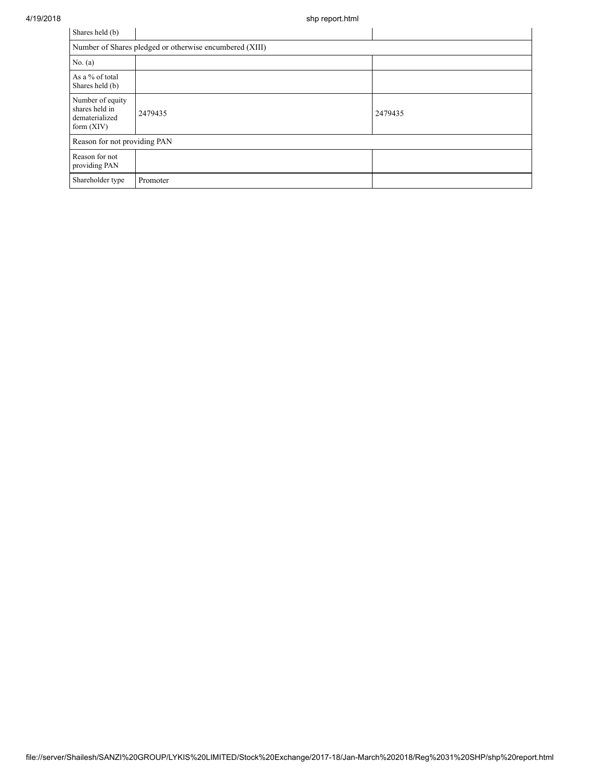| Shares held (b)                                                      |                                                         |         |
|----------------------------------------------------------------------|---------------------------------------------------------|---------|
|                                                                      | Number of Shares pledged or otherwise encumbered (XIII) |         |
| No. $(a)$                                                            |                                                         |         |
| As a % of total<br>Shares held (b)                                   |                                                         |         |
| Number of equity<br>shares held in<br>dematerialized<br>form $(XIV)$ | 2479435                                                 | 2479435 |
| Reason for not providing PAN                                         |                                                         |         |
| Reason for not<br>providing PAN                                      |                                                         |         |
| Shareholder type                                                     | Promoter                                                |         |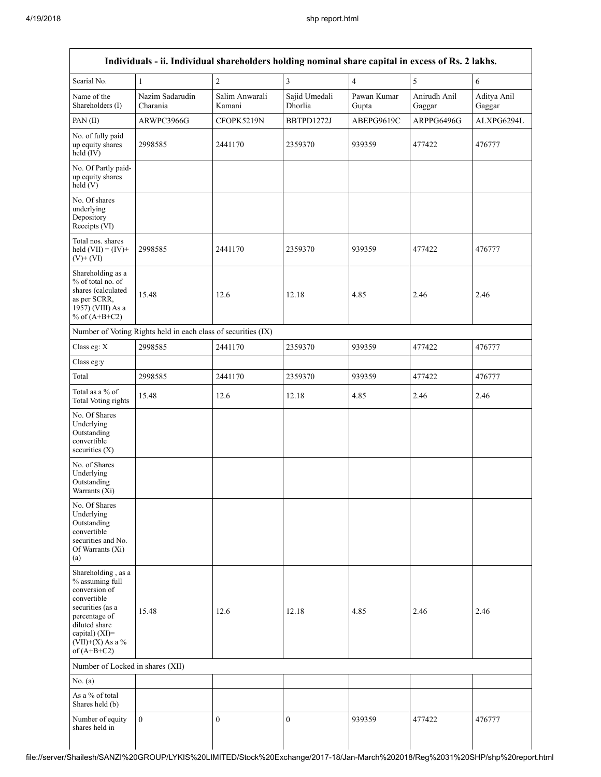| Searial No.                                                                                                                                                                          | $\,1\,$                                                       | $\overline{c}$           | $\overline{3}$           | $\overline{4}$       | 5                      | 6                     |
|--------------------------------------------------------------------------------------------------------------------------------------------------------------------------------------|---------------------------------------------------------------|--------------------------|--------------------------|----------------------|------------------------|-----------------------|
| Name of the<br>Shareholders (I)                                                                                                                                                      | Nazim Sadarudin<br>Charania                                   | Salim Anwarali<br>Kamani | Sajid Umedali<br>Dhorlia | Pawan Kumar<br>Gupta | Anirudh Anil<br>Gaggar | Aditya Anil<br>Gaggar |
| PAN(II)                                                                                                                                                                              | ARWPC3966G                                                    | CFOPK5219N               | BBTPD1272J               | ABEPG9619C           | ARPPG6496G             | ALXPG6294L            |
| No. of fully paid<br>up equity shares<br>held (IV)                                                                                                                                   | 2998585                                                       | 2441170                  | 2359370                  | 939359               | 477422                 | 476777                |
| No. Of Partly paid-<br>up equity shares<br>held(V)                                                                                                                                   |                                                               |                          |                          |                      |                        |                       |
| No. Of shares<br>underlying<br>Depository<br>Receipts (VI)                                                                                                                           |                                                               |                          |                          |                      |                        |                       |
| Total nos. shares<br>held $(VII) = (IV) +$<br>$(V)$ + $(VI)$                                                                                                                         | 2998585                                                       | 2441170                  | 2359370                  | 939359               | 477422                 | 476777                |
| Shareholding as a<br>% of total no. of<br>shares (calculated<br>as per SCRR,<br>1957) (VIII) As a<br>% of $(A+B+C2)$                                                                 | 15.48                                                         | 12.6                     | 12.18                    | 4.85                 | 2.46                   | 2.46                  |
|                                                                                                                                                                                      | Number of Voting Rights held in each class of securities (IX) |                          |                          |                      |                        |                       |
| Class eg: X                                                                                                                                                                          | 2998585                                                       | 2441170                  | 2359370                  | 939359               | 477422                 | 476777                |
| Class eg:y                                                                                                                                                                           |                                                               |                          |                          |                      |                        |                       |
| Total                                                                                                                                                                                | 2998585                                                       | 2441170                  | 2359370                  | 939359               | 477422                 | 476777                |
| Total as a % of<br>Total Voting rights                                                                                                                                               | 15.48                                                         | 12.6                     | 12.18                    | 4.85                 | 2.46                   | 2.46                  |
| No. Of Shares<br>Underlying<br>Outstanding<br>convertible<br>securities $(X)$                                                                                                        |                                                               |                          |                          |                      |                        |                       |
| No. of Shares<br>Underlying<br>Outstanding<br>Warrants (Xi)                                                                                                                          |                                                               |                          |                          |                      |                        |                       |
| No. Of Shares<br>Underlying<br>Outstanding<br>convertible<br>securities and No.<br>Of Warrants (Xi)<br>(a)                                                                           |                                                               |                          |                          |                      |                        |                       |
| Shareholding, as a<br>% assuming full<br>conversion of<br>convertible<br>securities (as a<br>percentage of<br>diluted share<br>capital) (XI)=<br>$(VII)+(X)$ As a %<br>of $(A+B+C2)$ | 15.48                                                         | 12.6                     | 12.18                    | 4.85                 | 2.46                   | 2.46                  |
| Number of Locked in shares (XII)                                                                                                                                                     |                                                               |                          |                          |                      |                        |                       |
| No. (a)                                                                                                                                                                              |                                                               |                          |                          |                      |                        |                       |
| As a % of total<br>Shares held (b)                                                                                                                                                   |                                                               |                          |                          |                      |                        |                       |
| Number of equity<br>shares held in                                                                                                                                                   | $\mathbf{0}$                                                  | $\overline{0}$           | $\mathbf{0}$             | 939359               | 477422                 | 476777                |

file://server/Shailesh/SANZI%20GROUP/LYKIS%20LIMITED/Stock%20Exchange/2017-18/Jan-March%202018/Reg%2031%20SHP/shp%20report.html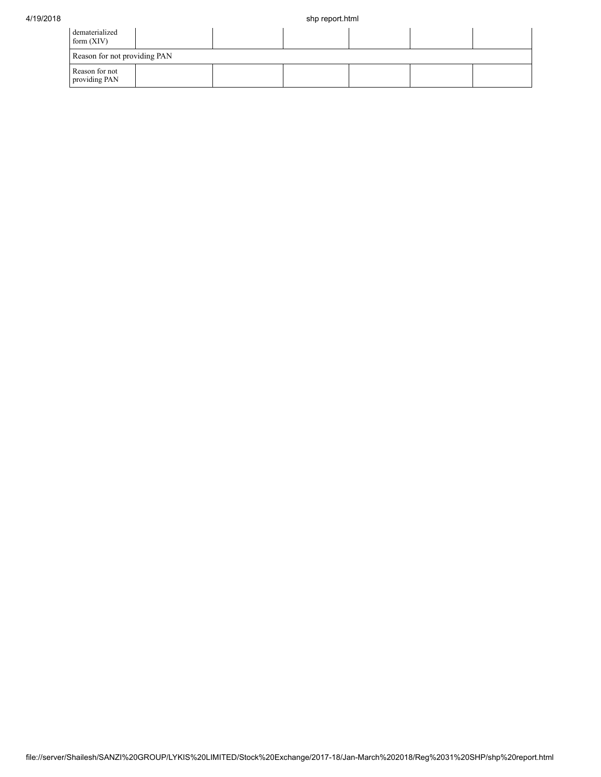| dematerialized<br>form $(XIV)$  |  |  |  |  |  |  |  |  |  |
|---------------------------------|--|--|--|--|--|--|--|--|--|
| Reason for not providing PAN    |  |  |  |  |  |  |  |  |  |
| Reason for not<br>providing PAN |  |  |  |  |  |  |  |  |  |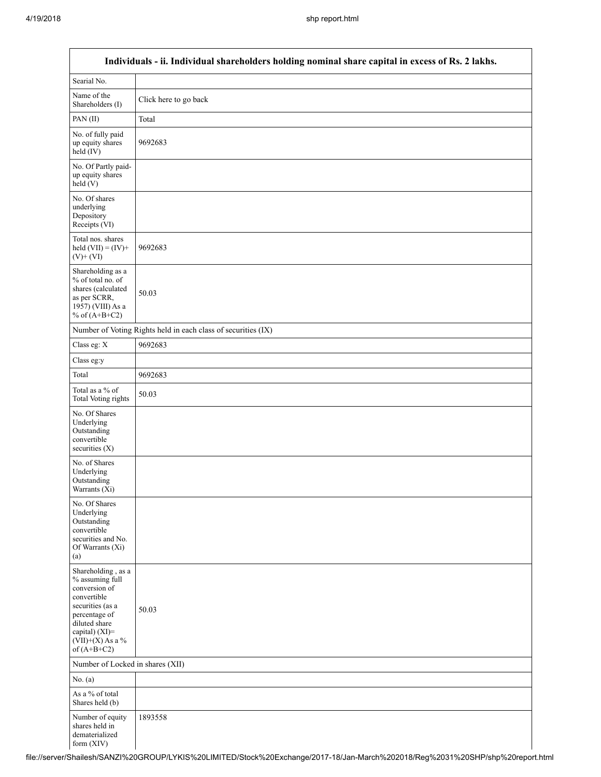Г

a l

| Individuals - ii. Individual shareholders holding nominal share capital in excess of Rs. 2 lakhs.                                                                                    |                                                               |  |  |  |  |  |  |
|--------------------------------------------------------------------------------------------------------------------------------------------------------------------------------------|---------------------------------------------------------------|--|--|--|--|--|--|
| Searial No.                                                                                                                                                                          |                                                               |  |  |  |  |  |  |
| Name of the<br>Shareholders (I)                                                                                                                                                      | Click here to go back                                         |  |  |  |  |  |  |
| PAN(II)                                                                                                                                                                              | Total                                                         |  |  |  |  |  |  |
| No. of fully paid<br>up equity shares<br>$held$ (IV)                                                                                                                                 | 9692683                                                       |  |  |  |  |  |  |
| No. Of Partly paid-<br>up equity shares<br>held(V)                                                                                                                                   |                                                               |  |  |  |  |  |  |
| No. Of shares<br>underlying<br>Depository<br>Receipts (VI)                                                                                                                           |                                                               |  |  |  |  |  |  |
| Total nos. shares<br>held $(VII) = (IV) +$<br>$(V)$ + $(VI)$                                                                                                                         | 9692683                                                       |  |  |  |  |  |  |
| Shareholding as a<br>% of total no. of<br>shares (calculated<br>as per SCRR,<br>1957) (VIII) As a<br>% of $(A+B+C2)$                                                                 | 50.03                                                         |  |  |  |  |  |  |
|                                                                                                                                                                                      | Number of Voting Rights held in each class of securities (IX) |  |  |  |  |  |  |
| Class eg: X                                                                                                                                                                          | 9692683                                                       |  |  |  |  |  |  |
| Class eg:y                                                                                                                                                                           |                                                               |  |  |  |  |  |  |
| Total                                                                                                                                                                                | 9692683                                                       |  |  |  |  |  |  |
| Total as a % of<br><b>Total Voting rights</b>                                                                                                                                        | 50.03                                                         |  |  |  |  |  |  |
| No. Of Shares<br>Underlying<br>Outstanding<br>convertible<br>securities (X)                                                                                                          |                                                               |  |  |  |  |  |  |
| No. of Shares<br>Underlying<br>Outstanding<br>Warrants (Xi)                                                                                                                          |                                                               |  |  |  |  |  |  |
| No. Of Shares<br>Underlying<br>Outstanding<br>convertible<br>securities and No.<br>Of Warrants (Xi)<br>(a)                                                                           |                                                               |  |  |  |  |  |  |
| Shareholding, as a<br>% assuming full<br>conversion of<br>convertible<br>securities (as a<br>percentage of<br>diluted share<br>capital) (XI)=<br>$(VII)+(X)$ As a %<br>of $(A+B+C2)$ | 50.03                                                         |  |  |  |  |  |  |
| Number of Locked in shares (XII)                                                                                                                                                     |                                                               |  |  |  |  |  |  |
| No. (a)                                                                                                                                                                              |                                                               |  |  |  |  |  |  |
| As a % of total<br>Shares held (b)                                                                                                                                                   |                                                               |  |  |  |  |  |  |
| Number of equity<br>shares held in<br>dematerialized<br>form (XIV)                                                                                                                   | 1893558                                                       |  |  |  |  |  |  |

file://server/Shailesh/SANZI%20GROUP/LYKIS%20LIMITED/Stock%20Exchange/2017-18/Jan-March%202018/Reg%2031%20SHP/shp%20report.html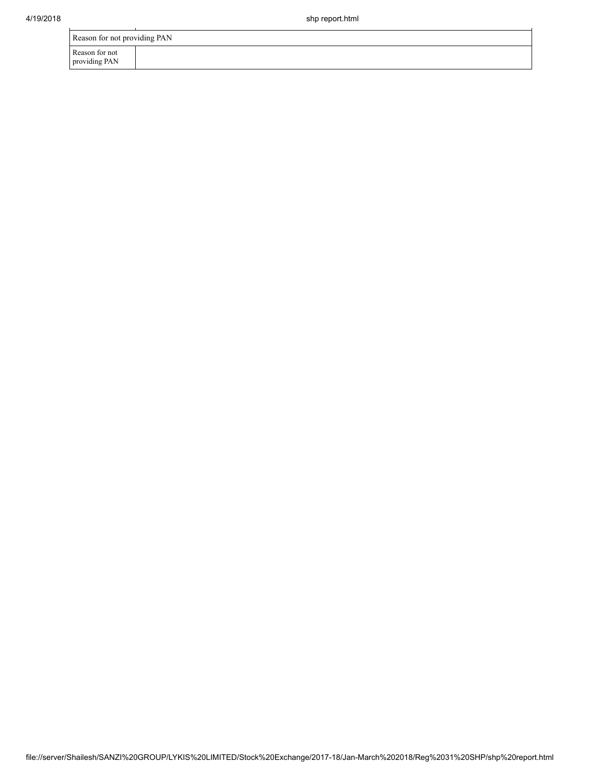| Reason for not providing PAN    |  |  |  |  |  |  |
|---------------------------------|--|--|--|--|--|--|
| Reason for not<br>providing PAN |  |  |  |  |  |  |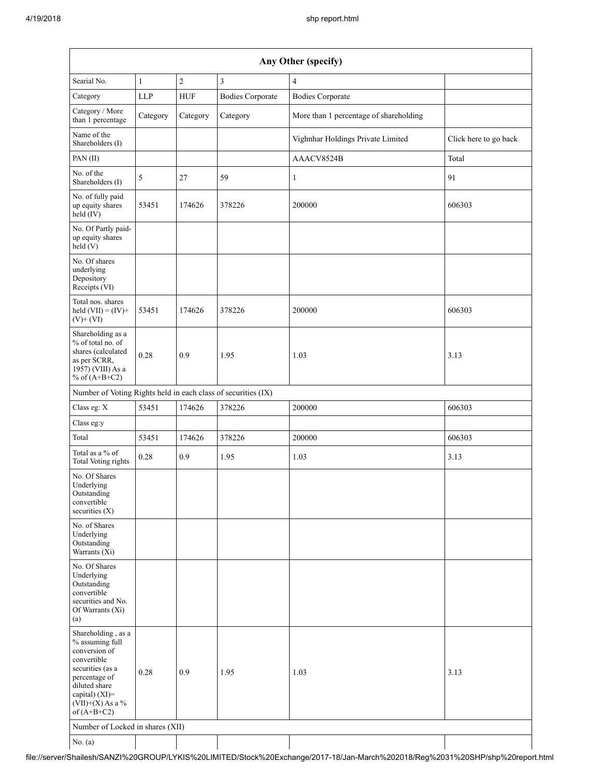| Any Other (specify)                                                                                                                                                                  |              |            |                         |                                        |                       |  |  |  |
|--------------------------------------------------------------------------------------------------------------------------------------------------------------------------------------|--------------|------------|-------------------------|----------------------------------------|-----------------------|--|--|--|
| Searial No.                                                                                                                                                                          | $\mathbf{1}$ | $\sqrt{2}$ | 3                       | $\overline{4}$                         |                       |  |  |  |
| Category                                                                                                                                                                             | LLP          | <b>HUF</b> | <b>Bodies Corporate</b> | <b>Bodies Corporate</b>                |                       |  |  |  |
| Category / More<br>than 1 percentage                                                                                                                                                 | Category     | Category   | Category                | More than 1 percentage of shareholding |                       |  |  |  |
| Name of the<br>Shareholders (I)                                                                                                                                                      |              |            |                         | Vighnhar Holdings Private Limited      | Click here to go back |  |  |  |
| PAN (II)                                                                                                                                                                             |              |            |                         | AAACV8524B                             | Total                 |  |  |  |
| No. of the<br>Shareholders (I)                                                                                                                                                       | 5            | 27         | 59                      | $\mathbf{1}$                           | 91                    |  |  |  |
| No. of fully paid<br>up equity shares<br>$\text{held} (IV)$                                                                                                                          | 53451        | 174626     | 378226                  | 200000                                 | 606303                |  |  |  |
| No. Of Partly paid-<br>up equity shares<br>held $(V)$                                                                                                                                |              |            |                         |                                        |                       |  |  |  |
| No. Of shares<br>underlying<br>Depository<br>Receipts (VI)                                                                                                                           |              |            |                         |                                        |                       |  |  |  |
| Total nos. shares<br>held $(VII) = (IV) +$<br>$(V)$ + $(VI)$                                                                                                                         | 53451        | 174626     | 378226                  | 200000                                 | 606303                |  |  |  |
| Shareholding as a<br>% of total no. of<br>shares (calculated<br>as per SCRR,<br>1957) (VIII) As a<br>% of $(A+B+C2)$                                                                 | 0.28         | 0.9        | 1.95                    | 1.03                                   | 3.13                  |  |  |  |
| Number of Voting Rights held in each class of securities (IX)                                                                                                                        |              |            |                         |                                        |                       |  |  |  |
| Class eg: X                                                                                                                                                                          | 53451        | 174626     | 378226                  | 200000                                 | 606303                |  |  |  |
| Class eg:y                                                                                                                                                                           |              |            |                         |                                        |                       |  |  |  |
| Total                                                                                                                                                                                | 53451        | 174626     | 378226                  | 200000                                 | 606303                |  |  |  |
| Total as a % of<br><b>Total Voting rights</b>                                                                                                                                        | 0.28         | 0.9        | 1.95                    | 1.03                                   | 3.13                  |  |  |  |
| No. Of Shares<br>Underlying<br>Outstanding<br>convertible<br>securities $(X)$                                                                                                        |              |            |                         |                                        |                       |  |  |  |
| No. of Shares<br>Underlying<br>Outstanding<br>Warrants (Xi)                                                                                                                          |              |            |                         |                                        |                       |  |  |  |
| No. Of Shares<br>Underlying<br>Outstanding<br>convertible<br>securities and No.<br>Of Warrants (Xi)<br>(a)                                                                           |              |            |                         |                                        |                       |  |  |  |
| Shareholding, as a<br>% assuming full<br>conversion of<br>convertible<br>securities (as a<br>percentage of<br>diluted share<br>capital) (XI)=<br>$(VII)+(X)$ As a %<br>of $(A+B+C2)$ | 0.28         | 0.9        | 1.95                    | 1.03                                   | 3.13                  |  |  |  |
| Number of Locked in shares (XII)                                                                                                                                                     |              |            |                         |                                        |                       |  |  |  |
| No. (a)                                                                                                                                                                              |              |            |                         |                                        |                       |  |  |  |

file://server/Shailesh/SANZI%20GROUP/LYKIS%20LIMITED/Stock%20Exchange/2017-18/Jan-March%202018/Reg%2031%20SHP/shp%20report.html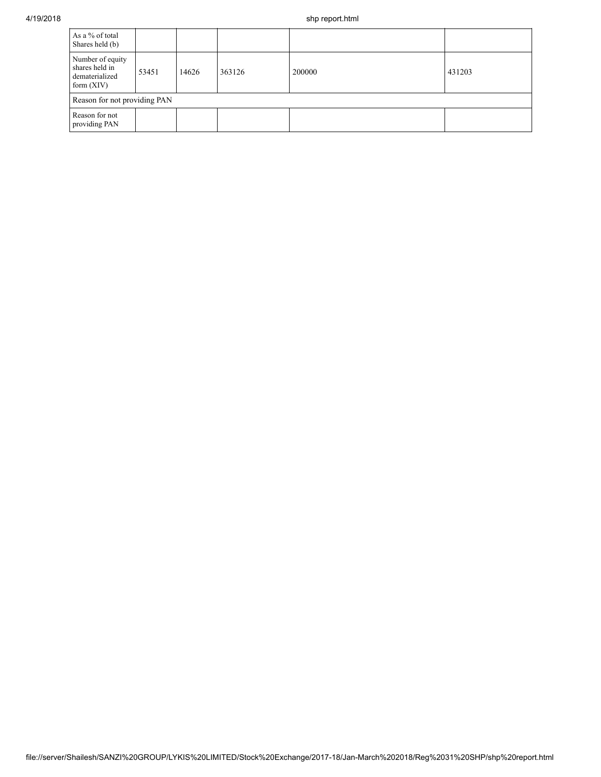| As a % of total<br>Shares held (b)                                   |       |       |        |        |        |  |  |
|----------------------------------------------------------------------|-------|-------|--------|--------|--------|--|--|
| Number of equity<br>shares held in<br>dematerialized<br>form $(XIV)$ | 53451 | 14626 | 363126 | 200000 | 431203 |  |  |
| Reason for not providing PAN                                         |       |       |        |        |        |  |  |
| Reason for not<br>providing PAN                                      |       |       |        |        |        |  |  |